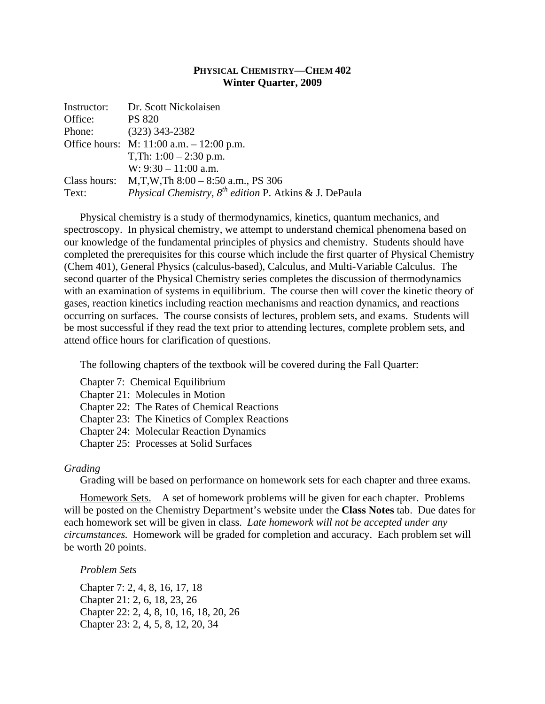## **PHYSICAL CHEMISTRY—CHEM 402 Winter Quarter, 2009**

| Instructor: | Dr. Scott Nickolaisen                                       |  |
|-------------|-------------------------------------------------------------|--|
| Office:     | <b>PS 820</b>                                               |  |
| Phone:      | $(323)$ 343-2382                                            |  |
|             | Office hours: $M: 11:00$ a.m. $-12:00$ p.m.                 |  |
|             | T,Th: $1:00 - 2:30$ p.m.                                    |  |
|             | W: $9:30 - 11:00$ a.m.                                      |  |
|             | Class hours: $M, T, W, Th 8:00 - 8:50$ a.m., PS 306         |  |
| Text:       | Physical Chemistry, $8^{th}$ edition P. Atkins & J. DePaula |  |

Physical chemistry is a study of thermodynamics, kinetics, quantum mechanics, and spectroscopy. In physical chemistry, we attempt to understand chemical phenomena based on our knowledge of the fundamental principles of physics and chemistry. Students should have completed the prerequisites for this course which include the first quarter of Physical Chemistry (Chem 401), General Physics (calculus-based), Calculus, and Multi-Variable Calculus. The second quarter of the Physical Chemistry series completes the discussion of thermodynamics with an examination of systems in equilibrium. The course then will cover the kinetic theory of gases, reaction kinetics including reaction mechanisms and reaction dynamics, and reactions occurring on surfaces. The course consists of lectures, problem sets, and exams. Students will be most successful if they read the text prior to attending lectures, complete problem sets, and attend office hours for clarification of questions.

The following chapters of the textbook will be covered during the Fall Quarter:

Chapter 7: Chemical Equilibrium

Chapter 21: Molecules in Motion

Chapter 22: The Rates of Chemical Reactions

Chapter 23: The Kinetics of Complex Reactions

Chapter 24: Molecular Reaction Dynamics

Chapter 25: Processes at Solid Surfaces

## *Grading*

Grading will be based on performance on homework sets for each chapter and three exams.

Homework Sets. A set of homework problems will be given for each chapter. Problems will be posted on the Chemistry Department's website under the **Class Notes** tab. Due dates for each homework set will be given in class. *Late homework will not be accepted under any circumstances.* Homework will be graded for completion and accuracy. Each problem set will be worth 20 points.

*Problem Sets* 

Chapter 7: 2, 4, 8, 16, 17, 18 Chapter 21: 2, 6, 18, 23, 26 Chapter 22: 2, 4, 8, 10, 16, 18, 20, 26 Chapter 23: 2, 4, 5, 8, 12, 20, 34